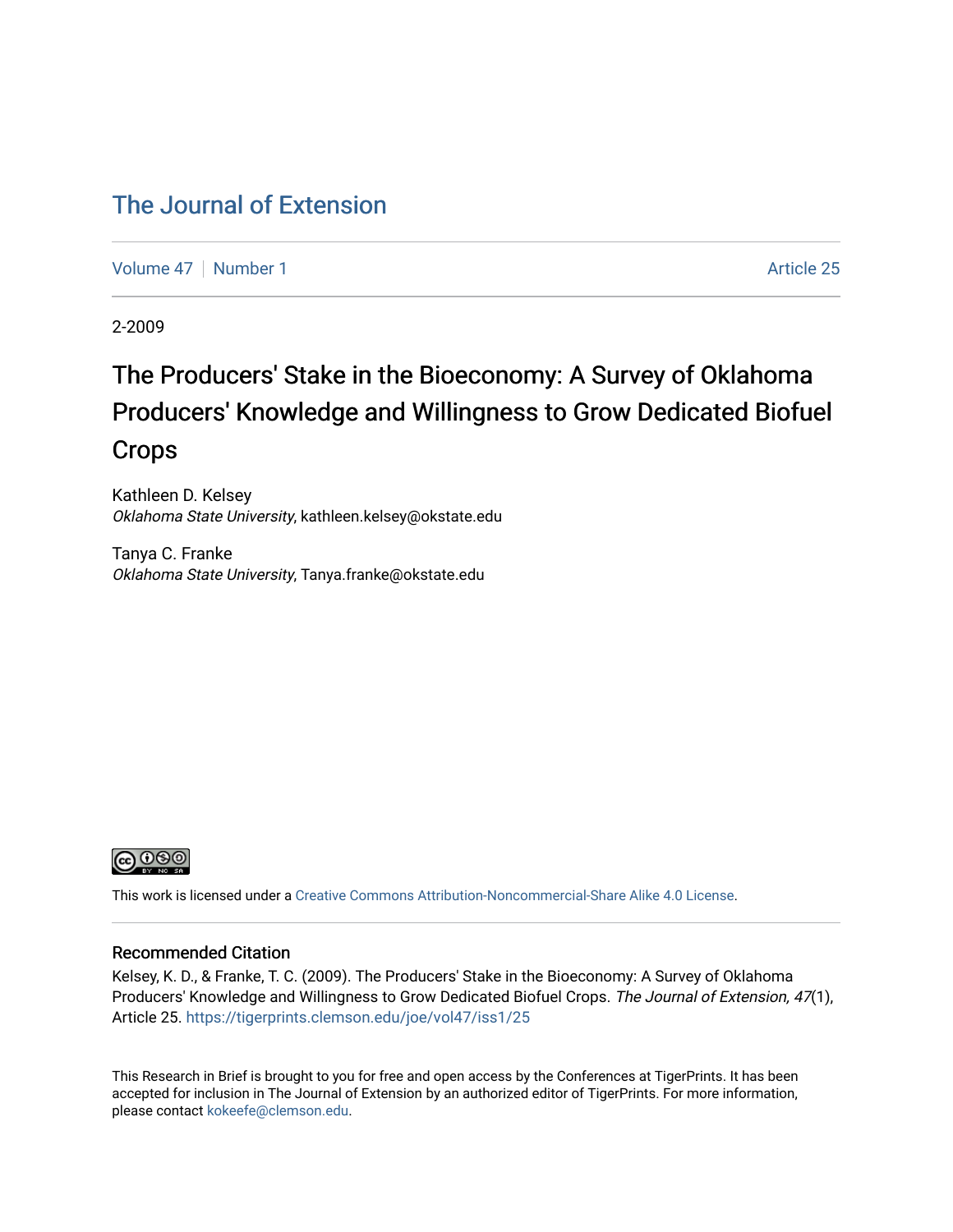#### [The Journal of Extension](https://tigerprints.clemson.edu/joe)

[Volume 47](https://tigerprints.clemson.edu/joe/vol47) | [Number 1](https://tigerprints.clemson.edu/joe/vol47/iss1) Article 25

2-2009

## The Producers' Stake in the Bioeconomy: A Survey of Oklahoma Producers' Knowledge and Willingness to Grow Dedicated Biofuel Crops

Kathleen D. Kelsey Oklahoma State University, kathleen.kelsey@okstate.edu

Tanya C. Franke Oklahoma State University, Tanya.franke@okstate.edu



This work is licensed under a [Creative Commons Attribution-Noncommercial-Share Alike 4.0 License.](https://creativecommons.org/licenses/by-nc-sa/4.0/)

#### Recommended Citation

Kelsey, K. D., & Franke, T. C. (2009). The Producers' Stake in the Bioeconomy: A Survey of Oklahoma Producers' Knowledge and Willingness to Grow Dedicated Biofuel Crops. The Journal of Extension, 47(1), Article 25. <https://tigerprints.clemson.edu/joe/vol47/iss1/25>

This Research in Brief is brought to you for free and open access by the Conferences at TigerPrints. It has been accepted for inclusion in The Journal of Extension by an authorized editor of TigerPrints. For more information, please contact [kokeefe@clemson.edu](mailto:kokeefe@clemson.edu).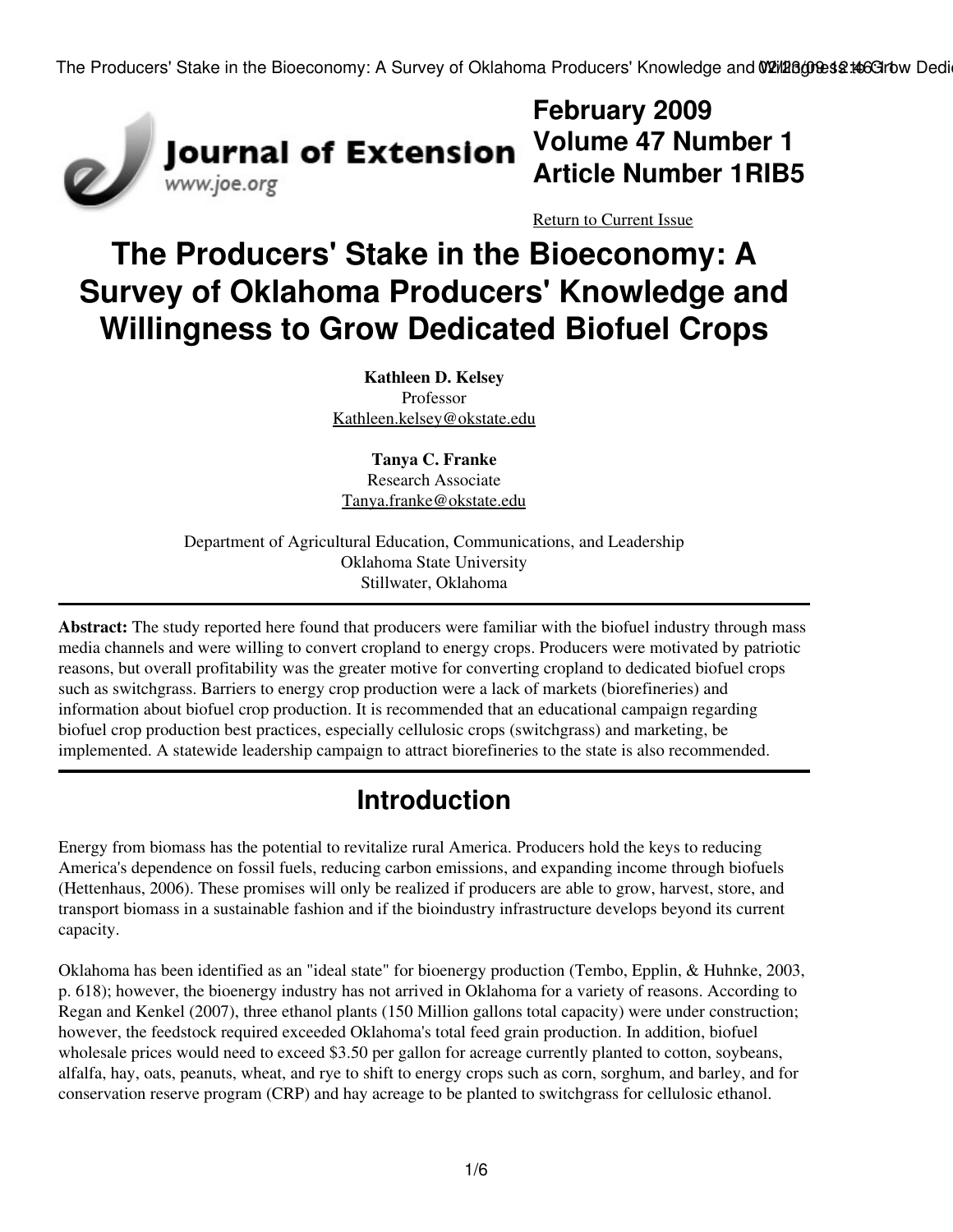

**February 2009 Volume 47 Number 1 Article Number 1RIB5**

[Return to Current Issue](http://www.joe.org:80/joe/2009february/)

# **The Producers' Stake in the Bioeconomy: A Survey of Oklahoma Producers' Knowledge and Willingness to Grow Dedicated Biofuel Crops**

**Kathleen D. Kelsey** Professor [Kathleen.kelsey@okstate.edu](mailto:Kathleen.kelsey@okstate.edu)

**Tanya C. Franke** Research Associate [Tanya.franke@okstate.edu](mailto:Tanya.franke@okstate.edu)

Department of Agricultural Education, Communications, and Leadership Oklahoma State University Stillwater, Oklahoma

**Abstract:** The study reported here found that producers were familiar with the biofuel industry through mass media channels and were willing to convert cropland to energy crops. Producers were motivated by patriotic reasons, but overall profitability was the greater motive for converting cropland to dedicated biofuel crops such as switchgrass. Barriers to energy crop production were a lack of markets (biorefineries) and information about biofuel crop production. It is recommended that an educational campaign regarding biofuel crop production best practices, especially cellulosic crops (switchgrass) and marketing, be implemented. A statewide leadership campaign to attract biorefineries to the state is also recommended.

## **Introduction**

Energy from biomass has the potential to revitalize rural America. Producers hold the keys to reducing America's dependence on fossil fuels, reducing carbon emissions, and expanding income through biofuels (Hettenhaus, 2006). These promises will only be realized if producers are able to grow, harvest, store, and transport biomass in a sustainable fashion and if the bioindustry infrastructure develops beyond its current capacity.

Oklahoma has been identified as an "ideal state" for bioenergy production (Tembo, Epplin, & Huhnke, 2003, p. 618); however, the bioenergy industry has not arrived in Oklahoma for a variety of reasons. According to Regan and Kenkel (2007), three ethanol plants (150 Million gallons total capacity) were under construction; however, the feedstock required exceeded Oklahoma's total feed grain production. In addition, biofuel wholesale prices would need to exceed \$3.50 per gallon for acreage currently planted to cotton, soybeans, alfalfa, hay, oats, peanuts, wheat, and rye to shift to energy crops such as corn, sorghum, and barley, and for conservation reserve program (CRP) and hay acreage to be planted to switchgrass for cellulosic ethanol.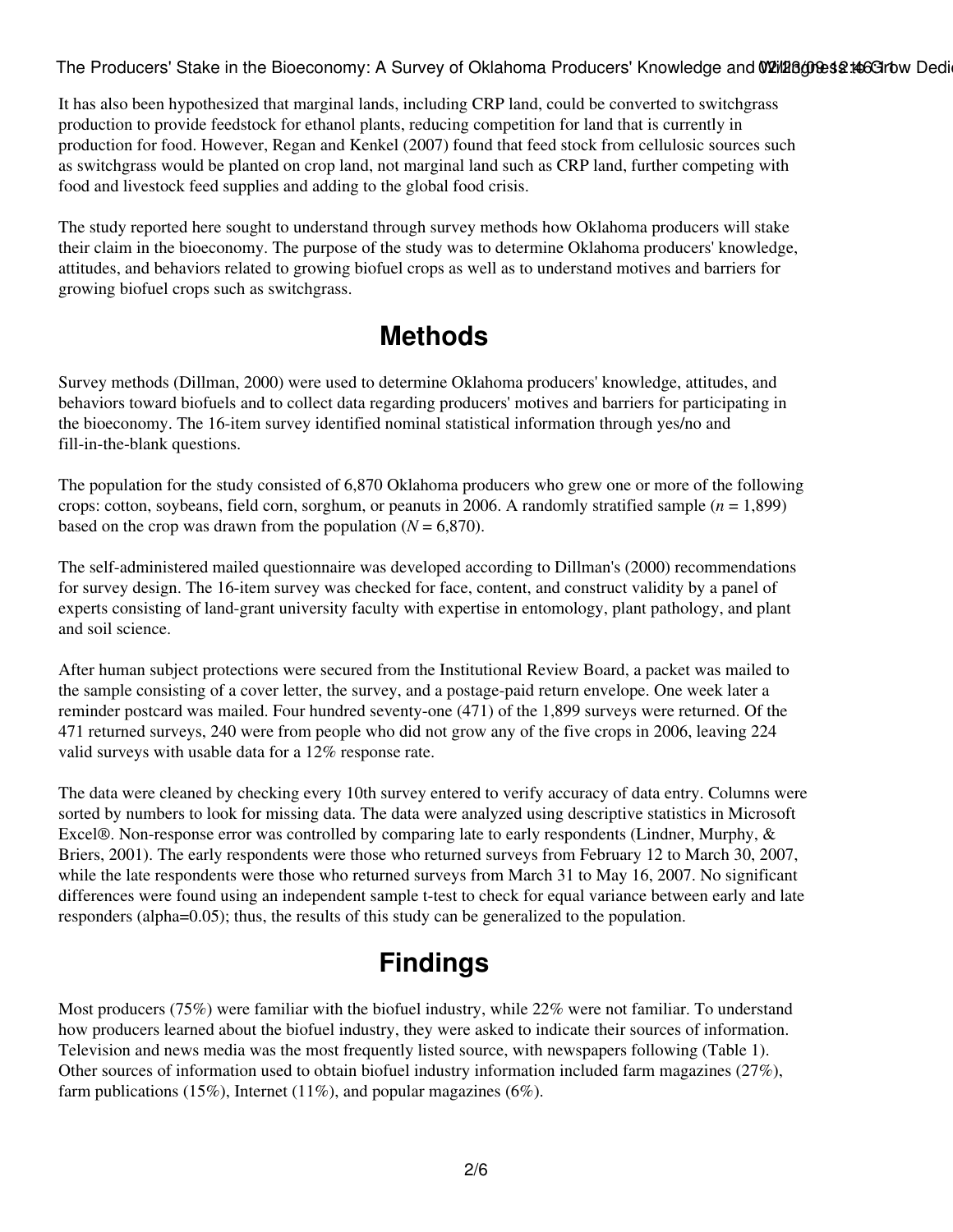The Producers' Stake in the Bioeconomy: A Survey of Oklahoma Producers' Knowledge and W21/128000est to Grow Dedi

It has also been hypothesized that marginal lands, including CRP land, could be converted to switchgrass production to provide feedstock for ethanol plants, reducing competition for land that is currently in production for food. However, Regan and Kenkel (2007) found that feed stock from cellulosic sources such as switchgrass would be planted on crop land, not marginal land such as CRP land, further competing with food and livestock feed supplies and adding to the global food crisis.

The study reported here sought to understand through survey methods how Oklahoma producers will stake their claim in the bioeconomy. The purpose of the study was to determine Oklahoma producers' knowledge, attitudes, and behaviors related to growing biofuel crops as well as to understand motives and barriers for growing biofuel crops such as switchgrass.

#### **Methods**

Survey methods (Dillman, 2000) were used to determine Oklahoma producers' knowledge, attitudes, and behaviors toward biofuels and to collect data regarding producers' motives and barriers for participating in the bioeconomy. The 16-item survey identified nominal statistical information through yes/no and fill-in-the-blank questions.

The population for the study consisted of 6,870 Oklahoma producers who grew one or more of the following crops: cotton, soybeans, field corn, sorghum, or peanuts in 2006. A randomly stratified sample (*n* = 1,899) based on the crop was drawn from the population  $(N = 6,870)$ .

The self-administered mailed questionnaire was developed according to Dillman's (2000) recommendations for survey design. The 16-item survey was checked for face, content, and construct validity by a panel of experts consisting of land-grant university faculty with expertise in entomology, plant pathology, and plant and soil science.

After human subject protections were secured from the Institutional Review Board, a packet was mailed to the sample consisting of a cover letter, the survey, and a postage-paid return envelope. One week later a reminder postcard was mailed. Four hundred seventy-one (471) of the 1,899 surveys were returned. Of the 471 returned surveys, 240 were from people who did not grow any of the five crops in 2006, leaving 224 valid surveys with usable data for a 12% response rate.

The data were cleaned by checking every 10th survey entered to verify accuracy of data entry. Columns were sorted by numbers to look for missing data. The data were analyzed using descriptive statistics in Microsoft Excel®. Non-response error was controlled by comparing late to early respondents (Lindner, Murphy, & Briers, 2001). The early respondents were those who returned surveys from February 12 to March 30, 2007, while the late respondents were those who returned surveys from March 31 to May 16, 2007. No significant differences were found using an independent sample t-test to check for equal variance between early and late responders (alpha=0.05); thus, the results of this study can be generalized to the population.

### **Findings**

Most producers (75%) were familiar with the biofuel industry, while 22% were not familiar. To understand how producers learned about the biofuel industry, they were asked to indicate their sources of information. Television and news media was the most frequently listed source, with newspapers following (Table 1). Other sources of information used to obtain biofuel industry information included farm magazines (27%), farm publications (15%), Internet (11%), and popular magazines (6%).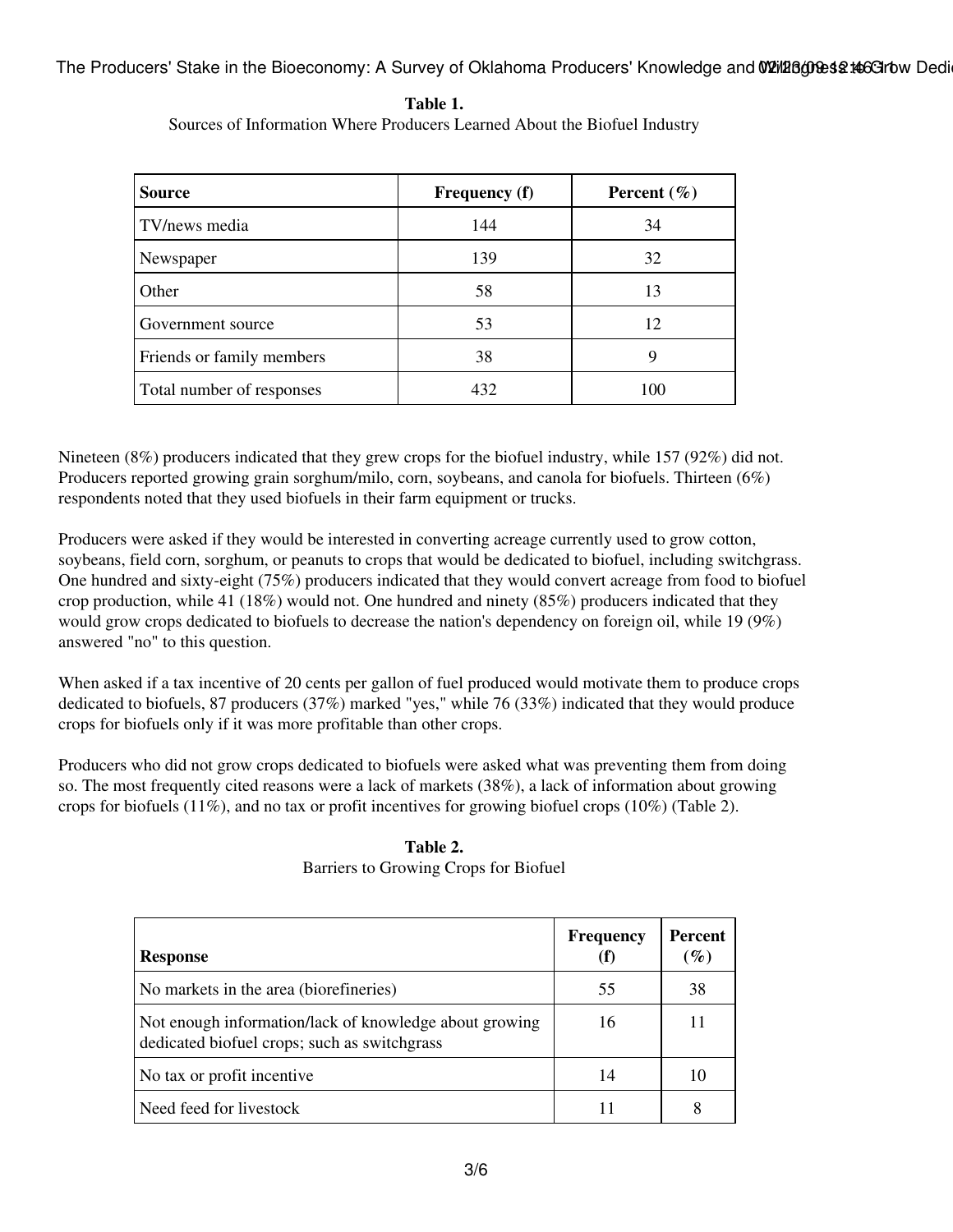The Producers' Stake in the Bioeconomy: A Survey of Oklahoma Producers' Knowledge and W21/286000063214663170w Dedi

| Table 1.                                                                  |
|---------------------------------------------------------------------------|
| Sources of Information Where Producers Learned About the Biofuel Industry |

| <b>Source</b>             | <b>Frequency</b> (f) | Percent $(\% )$ |
|---------------------------|----------------------|-----------------|
| TV/news media             | 144                  | 34              |
| Newspaper                 | 139                  | 32              |
| Other                     | 58                   | 13              |
| Government source         | 53                   | 12              |
| Friends or family members | 38                   | 9               |
| Total number of responses | 432                  | 100             |

Nineteen (8%) producers indicated that they grew crops for the biofuel industry, while 157 (92%) did not. Producers reported growing grain sorghum/milo, corn, soybeans, and canola for biofuels. Thirteen (6%) respondents noted that they used biofuels in their farm equipment or trucks.

Producers were asked if they would be interested in converting acreage currently used to grow cotton, soybeans, field corn, sorghum, or peanuts to crops that would be dedicated to biofuel, including switchgrass. One hundred and sixty-eight (75%) producers indicated that they would convert acreage from food to biofuel crop production, while 41 (18%) would not. One hundred and ninety (85%) producers indicated that they would grow crops dedicated to biofuels to decrease the nation's dependency on foreign oil, while 19 (9%) answered "no" to this question.

When asked if a tax incentive of 20 cents per gallon of fuel produced would motivate them to produce crops dedicated to biofuels, 87 producers (37%) marked "yes," while 76 (33%) indicated that they would produce crops for biofuels only if it was more profitable than other crops.

Producers who did not grow crops dedicated to biofuels were asked what was preventing them from doing so. The most frequently cited reasons were a lack of markets (38%), a lack of information about growing crops for biofuels (11%), and no tax or profit incentives for growing biofuel crops (10%) (Table 2).

| <b>Response</b>                                                                                        | <b>Frequency</b> | <b>Percent</b><br>$(\%)$ |
|--------------------------------------------------------------------------------------------------------|------------------|--------------------------|
| No markets in the area (biorefineries)                                                                 | 55               | 38                       |
| Not enough information/lack of knowledge about growing<br>dedicated biofuel crops; such as switchgrass | 16               |                          |
| No tax or profit incentive                                                                             | 14               | 10                       |
| Need feed for livestock                                                                                |                  | 8                        |

**Table 2.** Barriers to Growing Crops for Biofuel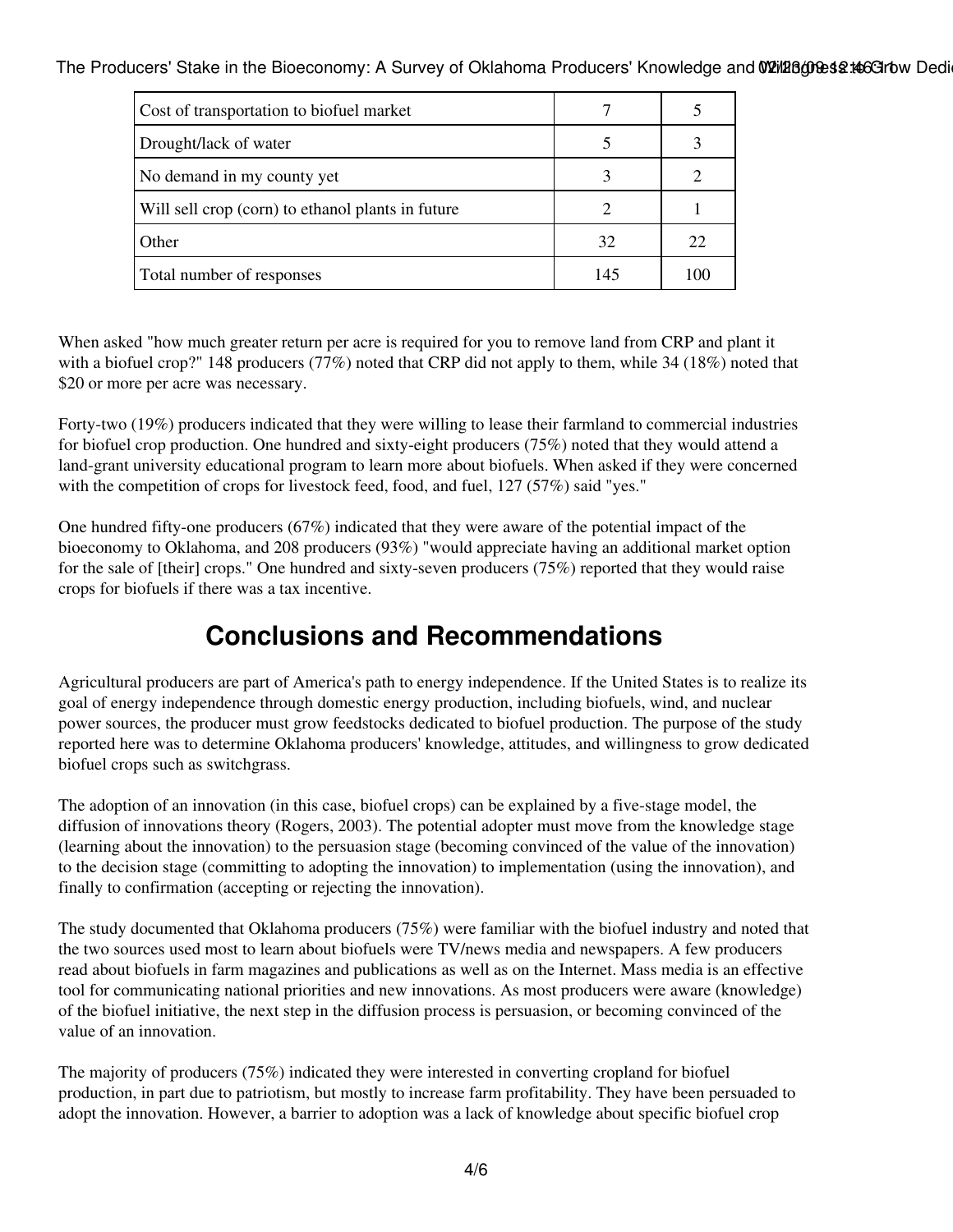The Producers' Stake in the Bioeconomy: A Survey of Oklahoma Producers' Knowledge and W21/128000est to Grow Dedi

| Cost of transportation to biofuel market          |     |     |
|---------------------------------------------------|-----|-----|
| Drought/lack of water                             |     |     |
| No demand in my county yet                        |     |     |
| Will sell crop (corn) to ethanol plants in future |     |     |
| Other                                             | 32  | 22  |
| Total number of responses                         | 145 | 100 |

When asked "how much greater return per acre is required for you to remove land from CRP and plant it with a biofuel crop?" 148 producers (77%) noted that CRP did not apply to them, while 34 (18%) noted that \$20 or more per acre was necessary.

Forty-two (19%) producers indicated that they were willing to lease their farmland to commercial industries for biofuel crop production. One hundred and sixty-eight producers (75%) noted that they would attend a land-grant university educational program to learn more about biofuels. When asked if they were concerned with the competition of crops for livestock feed, food, and fuel, 127 (57%) said "yes."

One hundred fifty-one producers (67%) indicated that they were aware of the potential impact of the bioeconomy to Oklahoma, and 208 producers (93%) "would appreciate having an additional market option for the sale of [their] crops." One hundred and sixty-seven producers (75%) reported that they would raise crops for biofuels if there was a tax incentive.

#### **Conclusions and Recommendations**

Agricultural producers are part of America's path to energy independence. If the United States is to realize its goal of energy independence through domestic energy production, including biofuels, wind, and nuclear power sources, the producer must grow feedstocks dedicated to biofuel production. The purpose of the study reported here was to determine Oklahoma producers' knowledge, attitudes, and willingness to grow dedicated biofuel crops such as switchgrass.

The adoption of an innovation (in this case, biofuel crops) can be explained by a five-stage model, the diffusion of innovations theory (Rogers, 2003). The potential adopter must move from the knowledge stage (learning about the innovation) to the persuasion stage (becoming convinced of the value of the innovation) to the decision stage (committing to adopting the innovation) to implementation (using the innovation), and finally to confirmation (accepting or rejecting the innovation).

The study documented that Oklahoma producers (75%) were familiar with the biofuel industry and noted that the two sources used most to learn about biofuels were TV/news media and newspapers. A few producers read about biofuels in farm magazines and publications as well as on the Internet. Mass media is an effective tool for communicating national priorities and new innovations. As most producers were aware (knowledge) of the biofuel initiative, the next step in the diffusion process is persuasion, or becoming convinced of the value of an innovation.

The majority of producers (75%) indicated they were interested in converting cropland for biofuel production, in part due to patriotism, but mostly to increase farm profitability. They have been persuaded to adopt the innovation. However, a barrier to adoption was a lack of knowledge about specific biofuel crop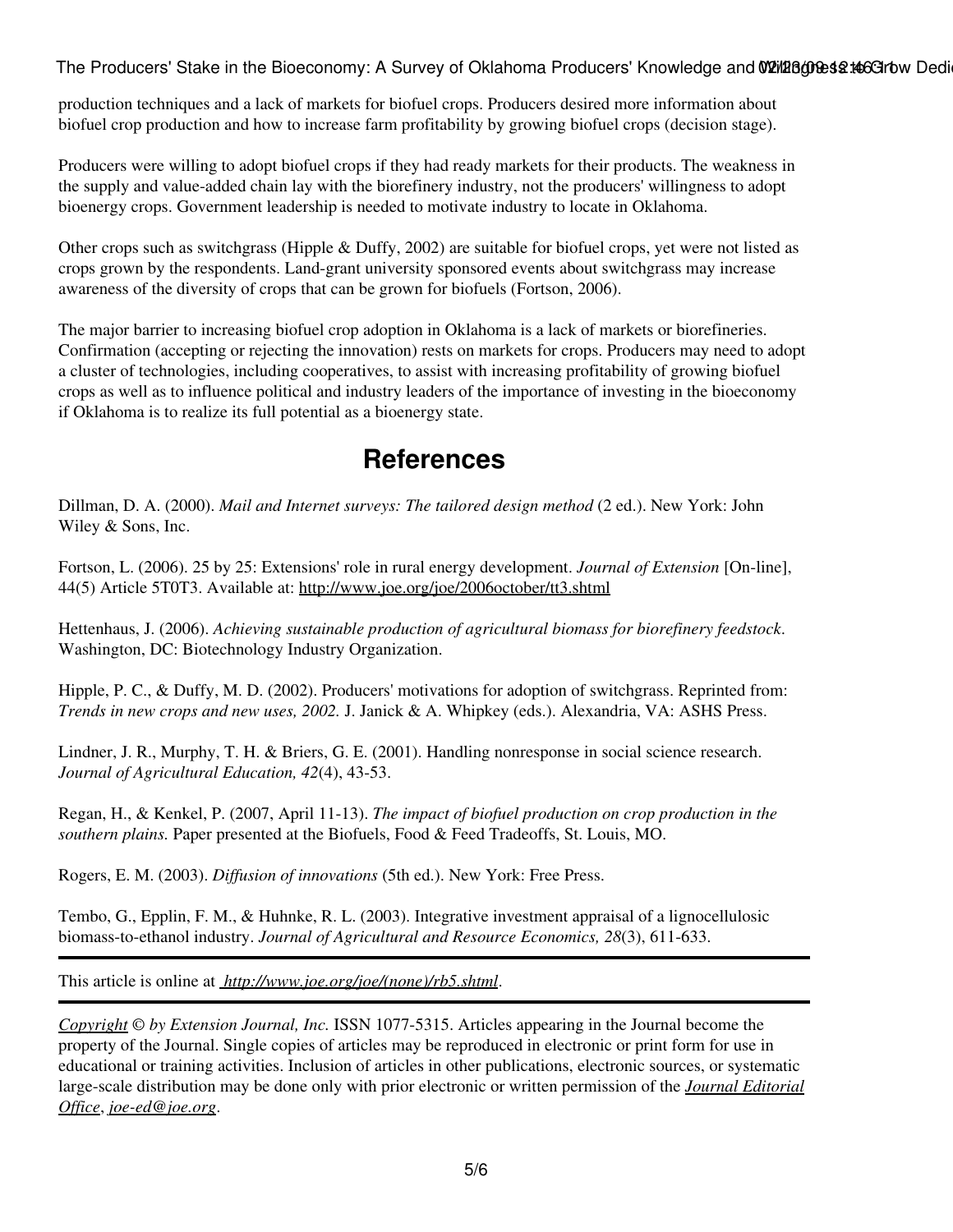The Producers' Stake in the Bioeconomy: A Survey of Oklahoma Producers' Knowledge and W21/128000est to Grow Dedi

production techniques and a lack of markets for biofuel crops. Producers desired more information about biofuel crop production and how to increase farm profitability by growing biofuel crops (decision stage).

Producers were willing to adopt biofuel crops if they had ready markets for their products. The weakness in the supply and value-added chain lay with the biorefinery industry, not the producers' willingness to adopt bioenergy crops. Government leadership is needed to motivate industry to locate in Oklahoma.

Other crops such as switchgrass (Hipple & Duffy, 2002) are suitable for biofuel crops, yet were not listed as crops grown by the respondents. Land-grant university sponsored events about switchgrass may increase awareness of the diversity of crops that can be grown for biofuels (Fortson, 2006).

The major barrier to increasing biofuel crop adoption in Oklahoma is a lack of markets or biorefineries. Confirmation (accepting or rejecting the innovation) rests on markets for crops. Producers may need to adopt a cluster of technologies, including cooperatives, to assist with increasing profitability of growing biofuel crops as well as to influence political and industry leaders of the importance of investing in the bioeconomy if Oklahoma is to realize its full potential as a bioenergy state.

#### **References**

Dillman, D. A. (2000). *Mail and Internet surveys: The tailored design method* (2 ed.). New York: John Wiley & Sons, Inc.

Fortson, L. (2006). 25 by 25: Extensions' role in rural energy development. *Journal of Extension* [On-line], 44(5) Article 5T0T3. Available at:<http://www.joe.org/joe/2006october/tt3.shtml>

Hettenhaus, J. (2006). *Achieving sustainable production of agricultural biomass for biorefinery feedstock*. Washington, DC: Biotechnology Industry Organization.

Hipple, P. C., & Duffy, M. D. (2002). Producers' motivations for adoption of switchgrass. Reprinted from: *Trends in new crops and new uses, 2002.* J. Janick & A. Whipkey (eds.). Alexandria, VA: ASHS Press.

Lindner, J. R., Murphy, T. H. & Briers, G. E. (2001). Handling nonresponse in social science research. *Journal of Agricultural Education, 42*(4), 43-53.

Regan, H., & Kenkel, P. (2007, April 11-13). *The impact of biofuel production on crop production in the southern plains.* Paper presented at the Biofuels, Food & Feed Tradeoffs, St. Louis, MO.

Rogers, E. M. (2003). *Diffusion of innovations* (5th ed.). New York: Free Press.

Tembo, G., Epplin, F. M., & Huhnke, R. L. (2003). Integrative investment appraisal of a lignocellulosic biomass-to-ethanol industry. *Journal of Agricultural and Resource Economics, 28*(3), 611-633.

This article is online at *[http://www.joe.org/joe/\(none\)/rb5.shtml](http://www.joe.org/joe/(none)/rb5.shtml)*.

*[Copyright](http://www.joe.org:80/joe/2009february/../../copyright.html) © by Extension Journal, Inc.* ISSN 1077-5315. Articles appearing in the Journal become the property of the Journal. Single copies of articles may be reproduced in electronic or print form for use in educational or training activities. Inclusion of articles in other publications, electronic sources, or systematic large-scale distribution may be done only with prior electronic or written permission of the *[Journal Editorial](http://www.joe.org:80/joe/2009february/../../joe-jeo.html) [Office](http://www.joe.org:80/joe/2009february/../../joe-jeo.html)*, *[joe-ed@joe.org](mailto:joe-ed@joe.org)*.